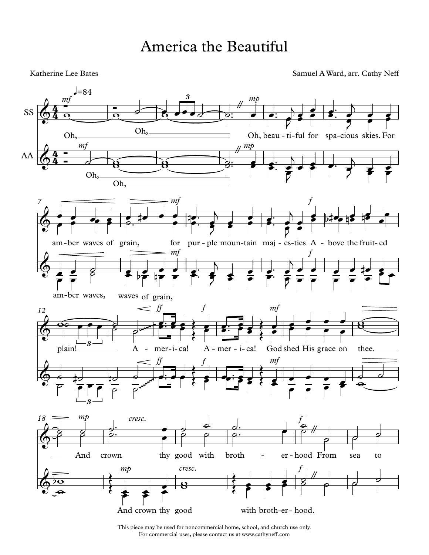Katherine Lee Bates Samuel A Ward, arr. Cathy Neff



This piece may be used for noncommercial home, school, and church use only. For commercial uses, please contact us at www.cathyneff.com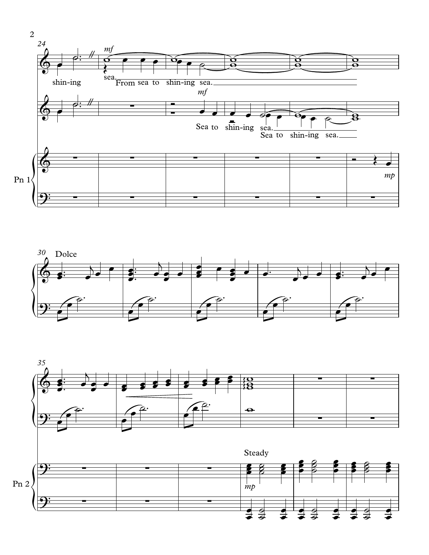



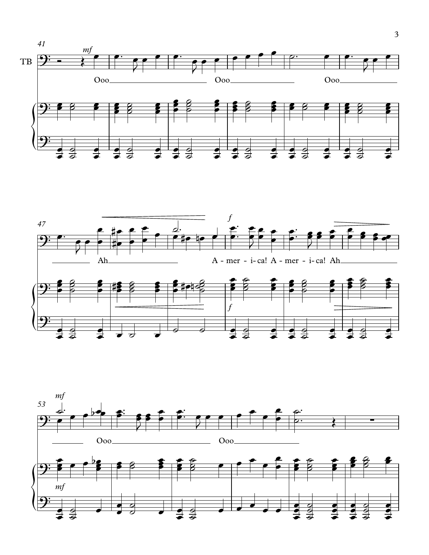



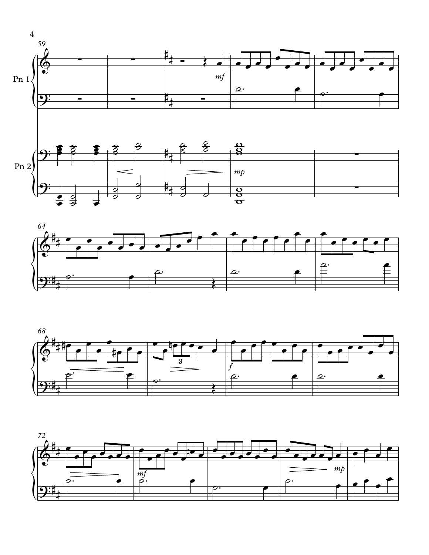





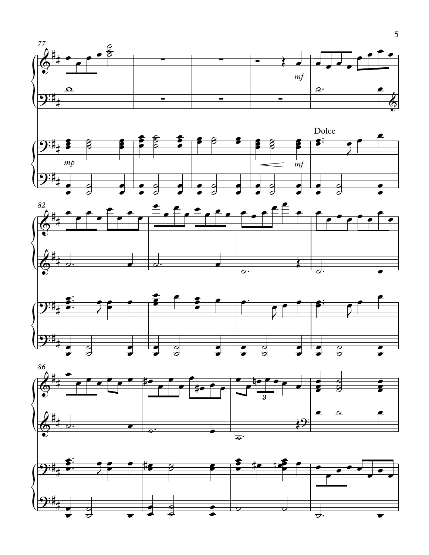





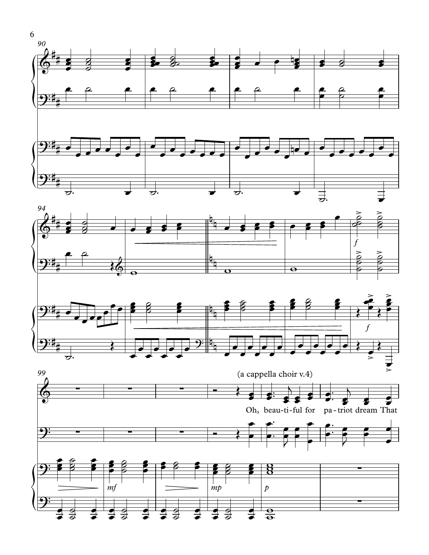